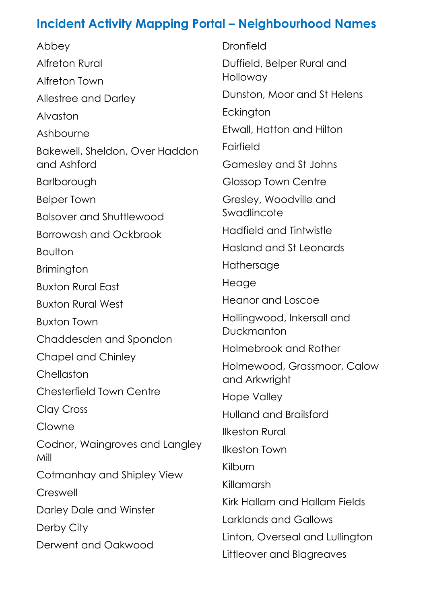Abbey Alfreton Rural Alfreton Town Allestree and Darley Alvaston Ashbourne Bakewell, Sheldon, Over Haddon and Ashford Barlborough Belper Town Bolsover and Shuttlewood Borrowash and Ockbrook Boulton Brimington Buxton Rural East Buxton Rural West Buxton Town Chaddesden and Spondon Chapel and Chinley **Chellaston** Chesterfield Town Centre Clay Cross Clowne Codnor, Waingroves and Langley

Mill

## Cotmanhay and Shipley View

**Creswell** 

Darley Dale and Winster

Derby City

Derwent and Oakwood

Dronfield Duffield, Belper Rural and Holloway Dunston, Moor and St Helens **Eckington** Etwall, Hatton and Hilton Fairfield Gamesley and St Johns Glossop Town Centre Gresley, Woodville and **Swadlincote** Hadfield and Tintwistle Hasland and St Leonards Hathersage **Heage** Heanor and Loscoe Hollingwood, Inkersall and Duckmanton Holmebrook and Rother Holmewood, Grassmoor, Calow and Arkwright Hope Valley Hulland and Brailsford Ilkeston Rural Ilkeston Town

Kilburn

## Killamarsh

Kirk Hallam and Hallam Fields Larklands and Gallows Linton, Overseal and Lullington Littleover and Blagreaves

## **Incident Activity Mapping Portal – Neighbourhood Names**